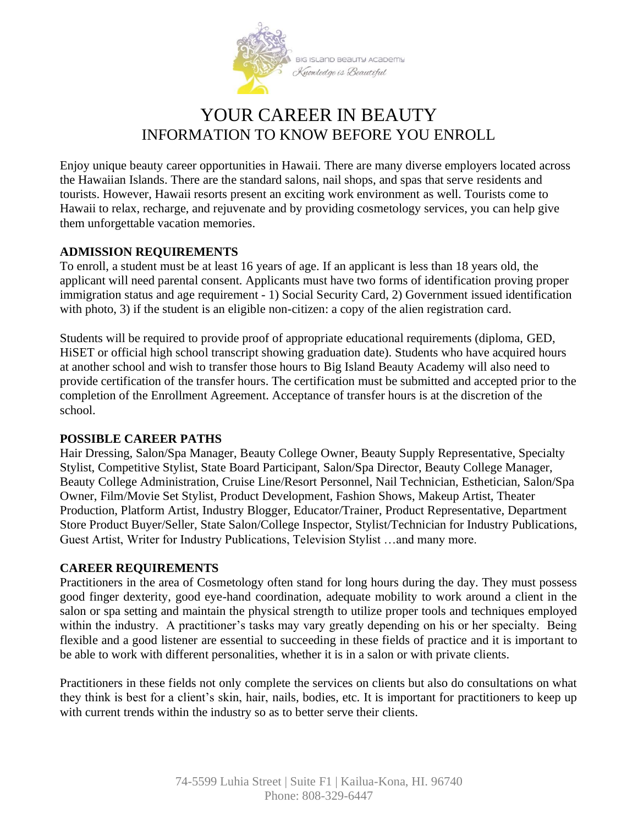

# YOUR CAREER IN BEAUTY INFORMATION TO KNOW BEFORE YOU ENROLL

Enjoy unique beauty career opportunities in Hawaii. There are many diverse employers located across the Hawaiian Islands. There are the standard salons, nail shops, and spas that serve residents and tourists. However, Hawaii resorts present an exciting work environment as well. Tourists come to Hawaii to relax, recharge, and rejuvenate and by providing cosmetology services, you can help give them unforgettable vacation memories.

# **ADMISSION REQUIREMENTS**

To enroll, a student must be at least 16 years of age. If an applicant is less than 18 years old, the applicant will need parental consent. Applicants must have two forms of identification proving proper immigration status and age requirement - 1) Social Security Card, 2) Government issued identification with photo, 3) if the student is an eligible non-citizen: a copy of the alien registration card.

Students will be required to provide proof of appropriate educational requirements (diploma, GED, HiSET or official high school transcript showing graduation date). Students who have acquired hours at another school and wish to transfer those hours to Big Island Beauty Academy will also need to provide certification of the transfer hours. The certification must be submitted and accepted prior to the completion of the Enrollment Agreement. Acceptance of transfer hours is at the discretion of the school.

## **POSSIBLE CAREER PATHS**

Hair Dressing, Salon/Spa Manager, Beauty College Owner, Beauty Supply Representative, Specialty Stylist, Competitive Stylist, State Board Participant, Salon/Spa Director, Beauty College Manager, Beauty College Administration, Cruise Line/Resort Personnel, Nail Technician, Esthetician, Salon/Spa Owner, Film/Movie Set Stylist, Product Development, Fashion Shows, Makeup Artist, Theater Production, Platform Artist, Industry Blogger, Educator/Trainer, Product Representative, Department Store Product Buyer/Seller, State Salon/College Inspector, Stylist/Technician for Industry Publications, Guest Artist, Writer for Industry Publications, Television Stylist …and many more.

## **CAREER REQUIREMENTS**

Practitioners in the area of Cosmetology often stand for long hours during the day. They must possess good finger dexterity, good eye-hand coordination, adequate mobility to work around a client in the salon or spa setting and maintain the physical strength to utilize proper tools and techniques employed within the industry. A practitioner's tasks may vary greatly depending on his or her specialty. Being flexible and a good listener are essential to succeeding in these fields of practice and it is important to be able to work with different personalities, whether it is in a salon or with private clients.

Practitioners in these fields not only complete the services on clients but also do consultations on what they think is best for a client's skin, hair, nails, bodies, etc. It is important for practitioners to keep up with current trends within the industry so as to better serve their clients.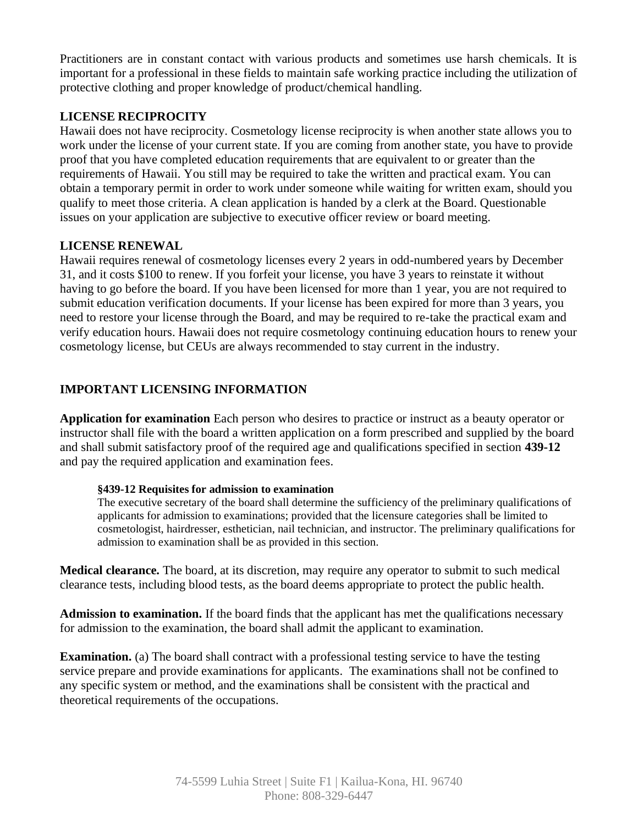Practitioners are in constant contact with various products and sometimes use harsh chemicals. It is important for a professional in these fields to maintain safe working practice including the utilization of protective clothing and proper knowledge of product/chemical handling.

# **LICENSE RECIPROCITY**

Hawaii does not have reciprocity. Cosmetology license reciprocity is when another state allows you to work under the license of your current state. If you are coming from another state, you have to provide proof that you have completed education requirements that are equivalent to or greater than the requirements of Hawaii. You still may be required to take the written and practical exam. You can obtain a temporary permit in order to work under someone while waiting for written exam, should you qualify to meet those criteria. A clean application is handed by a clerk at the Board. Questionable issues on your application are subjective to executive officer review or board meeting.

## **LICENSE RENEWAL**

Hawaii requires renewal of cosmetology licenses every 2 years in odd-numbered years by December 31, and it costs \$100 to renew. If you forfeit your license, you have 3 years to reinstate it without having to go before the board. If you have been licensed for more than 1 year, you are not required to submit education verification documents. If your license has been expired for more than 3 years, you need to restore your license through the Board, and may be required to re-take the practical exam and verify education hours. Hawaii does not require cosmetology continuing education hours to renew your cosmetology license, but CEUs are always recommended to stay current in the industry.

# **IMPORTANT LICENSING INFORMATION**

**Application for examination** Each person who desires to practice or instruct as a beauty operator or instructor shall file with the board a written application on a form prescribed and supplied by the board and shall submit satisfactory proof of the required age and qualifications specified in section **439-12** and pay the required application and examination fees.

## **§439-12 Requisites for admission to examination**

The executive secretary of the board shall determine the sufficiency of the preliminary qualifications of applicants for admission to examinations; provided that the licensure categories shall be limited to cosmetologist, hairdresser, esthetician, nail technician, and instructor. The preliminary qualifications for admission to examination shall be as provided in this section.

**Medical clearance.** The board, at its discretion, may require any operator to submit to such medical clearance tests, including blood tests, as the board deems appropriate to protect the public health.

**Admission to examination.** If the board finds that the applicant has met the qualifications necessary for admission to the examination, the board shall admit the applicant to examination.

**Examination.** (a) The board shall contract with a professional testing service to have the testing service prepare and provide examinations for applicants. The examinations shall not be confined to any specific system or method, and the examinations shall be consistent with the practical and theoretical requirements of the occupations.